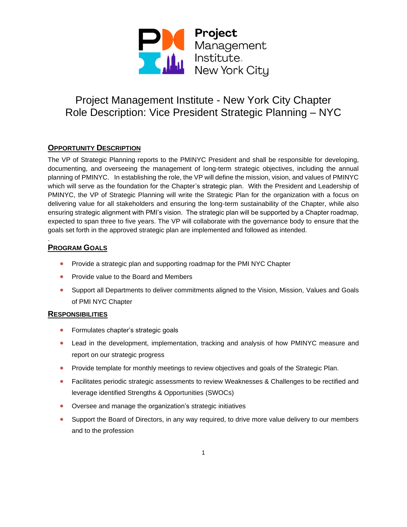

## **OPPORTUNITY DESCRIPTION**

The VP of Strategic Planning reports to the PMINYC President and shall be responsible for developing, documenting, and overseeing the management of long-term strategic objectives, including the annual planning of PMINYC. In establishing the role, the VP will define the mission, vision, and values of PMINYC which will serve as the foundation for the Chapter's strategic plan. With the President and Leadership of PMINYC, the VP of Strategic Planning will write the Strategic Plan for the organization with a focus on delivering value for all stakeholders and ensuring the long-term sustainability of the Chapter, while also ensuring strategic alignment with PMI's vision. The strategic plan will be supported by a Chapter roadmap, expected to span three to five years. The VP will collaborate with the governance body to ensure that the goals set forth in the approved strategic plan are implemented and followed as intended.

### **PROGRAM GOALS**

.

- Provide a strategic plan and supporting roadmap for the PMI NYC Chapter
- Provide value to the Board and Members
- Support all Departments to deliver commitments aligned to the Vision, Mission, Values and Goals of PMI NYC Chapter

#### **RESPONSIBILITIES**

- Formulates chapter's strategic goals
- Lead in the development, implementation, tracking and analysis of how PMINYC measure and report on our strategic progress
- Provide template for monthly meetings to review objectives and goals of the Strategic Plan.
- Facilitates periodic strategic assessments to review Weaknesses & Challenges to be rectified and leverage identified Strengths & Opportunities (SWOCs)
- Oversee and manage the organization's strategic initiatives
- Support the Board of Directors, in any way required, to drive more value delivery to our members and to the profession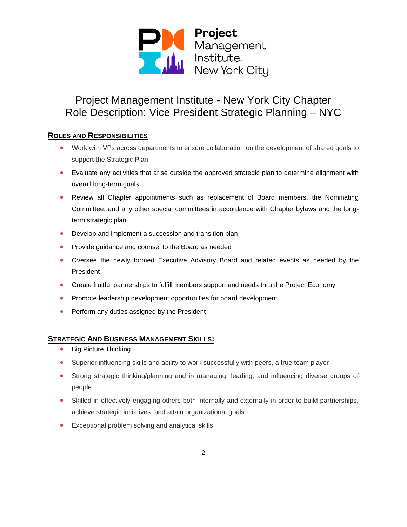

### **ROLES AND RESPONSIBILITIES**

- Work with VPs across departments to ensure collaboration on the development of shared goals to support the Strategic Plan
- Evaluate any activities that arise outside the approved strategic plan to determine alignment with overall long-term goals
- Review all Chapter appointments such as replacement of Board members, the Nominating Committee, and any other special committees in accordance with Chapter bylaws and the longterm strategic plan
- Develop and implement a succession and transition plan
- Provide guidance and counsel to the Board as needed
- Oversee the newly formed Executive Advisory Board and related events as needed by the President
- Create fruitful partnerships to fulfill members support and needs thru the Project Economy
- Promote leadership development opportunities for board development
- Perform any duties assigned by the President

#### **STRATEGIC AND BUSINESS MANAGEMENT SKILLS:**

- Big Picture Thinking
- Superior influencing skills and ability to work successfully with peers, a true team player
- Strong strategic thinking/planning and in managing, leading, and influencing diverse groups of people
- Skilled in effectively engaging others both internally and externally in order to build partnerships, achieve strategic initiatives, and attain organizational goals
- Exceptional problem solving and analytical skills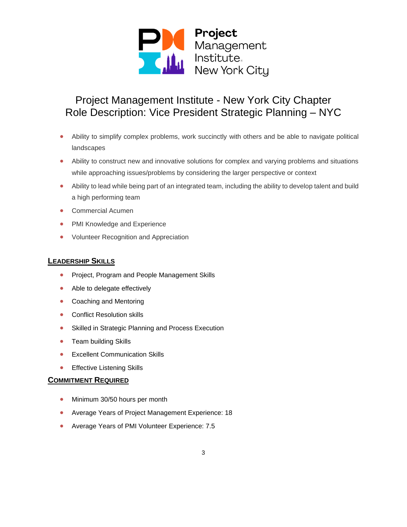

- Ability to simplify complex problems, work succinctly with others and be able to navigate political landscapes
- Ability to construct new and innovative solutions for complex and varying problems and situations while approaching issues/problems by considering the larger perspective or context
- Ability to lead while being part of an integrated team, including the ability to develop talent and build a high performing team
- Commercial Acumen
- PMI Knowledge and Experience
- Volunteer Recognition and Appreciation

#### **LEADERSHIP SKILLS**

- Project, Program and People Management Skills
- Able to delegate effectively
- Coaching and Mentoring
- Conflict Resolution skills
- Skilled in Strategic Planning and Process Execution
- Team building Skills
- Excellent Communication Skills
- Effective Listening Skills

#### **COMMITMENT REQUIRED**

- Minimum 30/50 hours per month
- Average Years of Project Management Experience: 18
- Average Years of PMI Volunteer Experience: 7.5